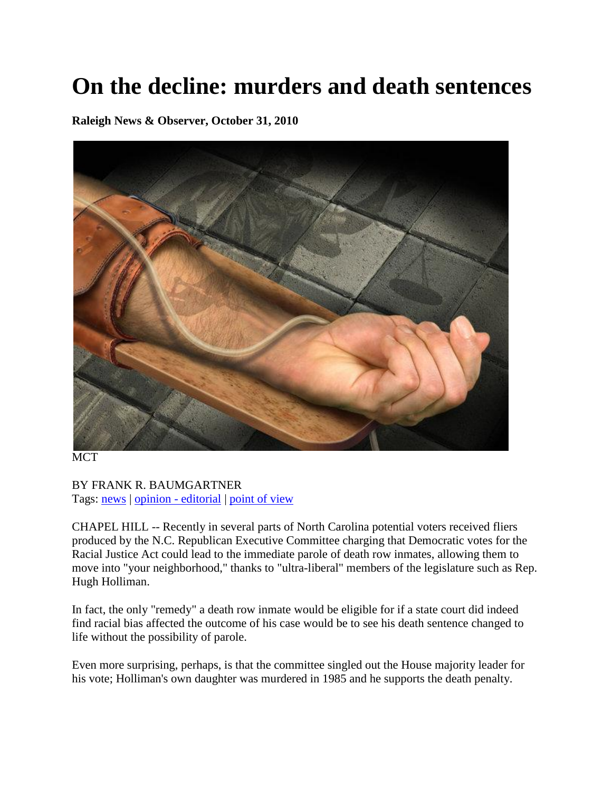## **On the decline: murders and death sentences**

**Raleigh News & Observer, October 31, 2010**



**MCT** 

BY FRANK R. BAUMGARTNER Tags: [news](http://www.newsobserver.com/tags?tag=news) | [opinion -](http://www.newsobserver.com/tags?tag=+opinion+-+editorial) editorial | [point of view](http://www.newsobserver.com/tags?tag=+point+of+view)

CHAPEL HILL -- Recently in several parts of North Carolina potential voters received fliers produced by the N.C. Republican Executive Committee charging that Democratic votes for the Racial Justice Act could lead to the immediate parole of death row inmates, allowing them to move into "your neighborhood," thanks to "ultra-liberal" members of the legislature such as Rep. Hugh Holliman.

In fact, the only "remedy" a death row inmate would be eligible for if a state court did indeed find racial bias affected the outcome of his case would be to see his death sentence changed to life without the possibility of parole.

Even more surprising, perhaps, is that the committee singled out the House majority leader for his vote; Holliman's own daughter was murdered in 1985 and he supports the death penalty.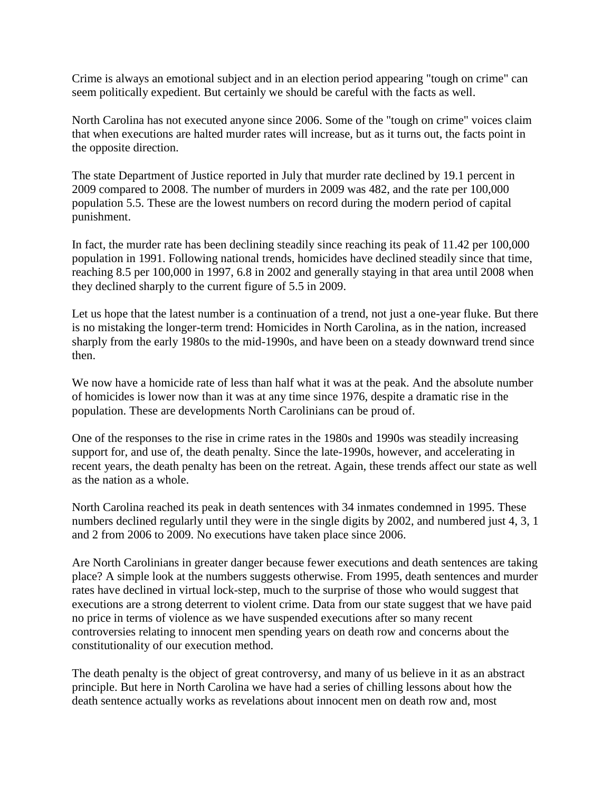Crime is always an emotional subject and in an election period appearing "tough on crime" can seem politically expedient. But certainly we should be careful with the facts as well.

North Carolina has not executed anyone since 2006. Some of the "tough on crime" voices claim that when executions are halted murder rates will increase, but as it turns out, the facts point in the opposite direction.

The state Department of Justice reported in July that murder rate declined by 19.1 percent in 2009 compared to 2008. The number of murders in 2009 was 482, and the rate per 100,000 population 5.5. These are the lowest numbers on record during the modern period of capital punishment.

In fact, the murder rate has been declining steadily since reaching its peak of 11.42 per 100,000 population in 1991. Following national trends, homicides have declined steadily since that time, reaching 8.5 per 100,000 in 1997, 6.8 in 2002 and generally staying in that area until 2008 when they declined sharply to the current figure of 5.5 in 2009.

Let us hope that the latest number is a continuation of a trend, not just a one-year fluke. But there is no mistaking the longer-term trend: Homicides in North Carolina, as in the nation, increased sharply from the early 1980s to the mid-1990s, and have been on a steady downward trend since then.

We now have a homicide rate of less than half what it was at the peak. And the absolute number of homicides is lower now than it was at any time since 1976, despite a dramatic rise in the population. These are developments North Carolinians can be proud of.

One of the responses to the rise in crime rates in the 1980s and 1990s was steadily increasing support for, and use of, the death penalty. Since the late-1990s, however, and accelerating in recent years, the death penalty has been on the retreat. Again, these trends affect our state as well as the nation as a whole.

North Carolina reached its peak in death sentences with 34 inmates condemned in 1995. These numbers declined regularly until they were in the single digits by 2002, and numbered just 4, 3, 1 and 2 from 2006 to 2009. No executions have taken place since 2006.

Are North Carolinians in greater danger because fewer executions and death sentences are taking place? A simple look at the numbers suggests otherwise. From 1995, death sentences and murder rates have declined in virtual lock-step, much to the surprise of those who would suggest that executions are a strong deterrent to violent crime. Data from our state suggest that we have paid no price in terms of violence as we have suspended executions after so many recent controversies relating to innocent men spending years on death row and concerns about the constitutionality of our execution method.

The death penalty is the object of great controversy, and many of us believe in it as an abstract principle. But here in North Carolina we have had a series of chilling lessons about how the death sentence actually works as revelations about innocent men on death row and, most